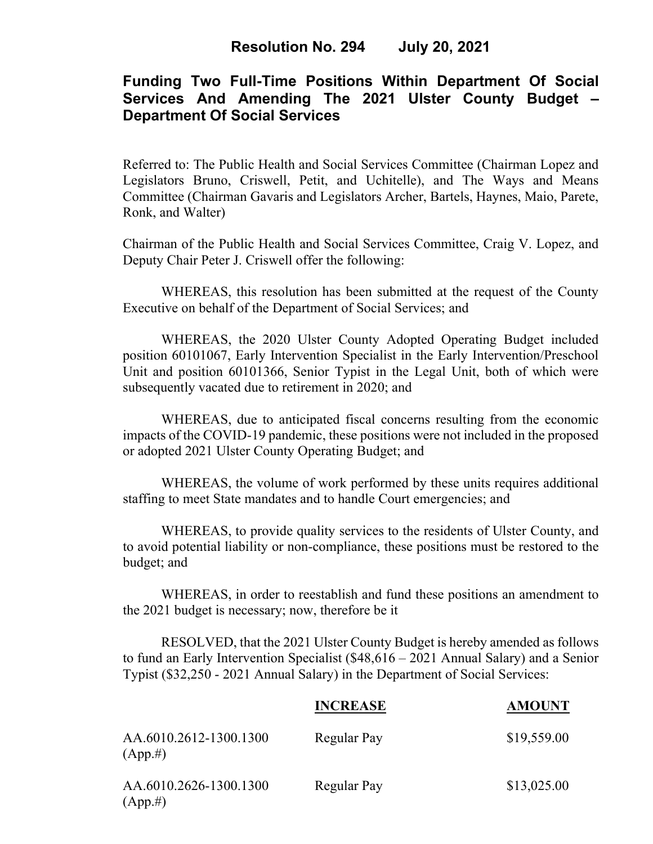# **Funding Two Full-Time Positions Within Department Of Social Services And Amending The 2021 Ulster County Budget – Department Of Social Services**

Referred to: The Public Health and Social Services Committee (Chairman Lopez and Legislators Bruno, Criswell, Petit, and Uchitelle), and The Ways and Means Committee (Chairman Gavaris and Legislators Archer, Bartels, Haynes, Maio, Parete, Ronk, and Walter)

Chairman of the Public Health and Social Services Committee, Craig V. Lopez, and Deputy Chair Peter J. Criswell offer the following:

WHEREAS, this resolution has been submitted at the request of the County Executive on behalf of the Department of Social Services; and

WHEREAS, the 2020 Ulster County Adopted Operating Budget included position 60101067, Early Intervention Specialist in the Early Intervention/Preschool Unit and position 60101366, Senior Typist in the Legal Unit, both of which were subsequently vacated due to retirement in 2020; and

WHEREAS, due to anticipated fiscal concerns resulting from the economic impacts of the COVID-19 pandemic, these positions were not included in the proposed or adopted 2021 Ulster County Operating Budget; and

WHEREAS, the volume of work performed by these units requires additional staffing to meet State mandates and to handle Court emergencies; and

WHEREAS, to provide quality services to the residents of Ulster County, and to avoid potential liability or non-compliance, these positions must be restored to the budget; and

WHEREAS, in order to reestablish and fund these positions an amendment to the 2021 budget is necessary; now, therefore be it

RESOLVED, that the 2021 Ulster County Budget is hereby amended as follows to fund an Early Intervention Specialist (\$48,616 – 2021 Annual Salary) and a Senior Typist (\$32,250 - 2021 Annual Salary) in the Department of Social Services:

|                                       | <b>INCREASE</b> | <b>AMOUNT</b> |
|---------------------------------------|-----------------|---------------|
| AA.6010.2612-1300.1300<br>$(App. \#)$ | Regular Pay     | \$19,559.00   |
| AA.6010.2626-1300.1300<br>(App.#)     | Regular Pay     | \$13,025.00   |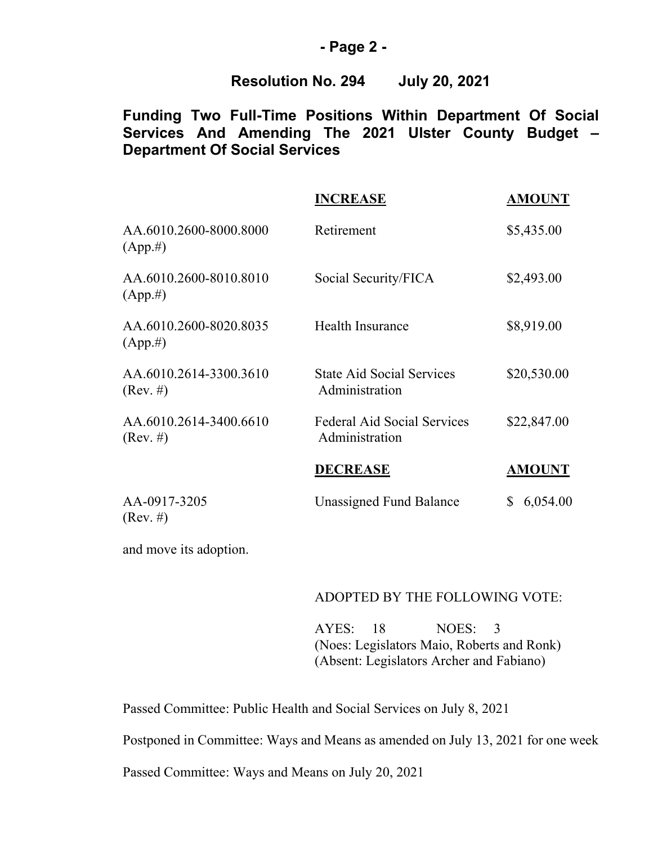### **- Page 2 -**

### **Resolution No. 294 July 20, 2021**

# **Funding Two Full-Time Positions Within Department Of Social Services And Amending The 2021 Ulster County Budget – Department Of Social Services**

|                                              | <b>INCREASE</b>                                      | <b>AMOUNT</b>  |
|----------------------------------------------|------------------------------------------------------|----------------|
| AA.6010.2600-8000.8000<br>$(App. \#)$        | Retirement                                           | \$5,435.00     |
| AA.6010.2600-8010.8010<br>$(App. \#)$        | Social Security/FICA                                 | \$2,493.00     |
| AA.6010.2600-8020.8035<br>$(App. \#)$        | Health Insurance                                     | \$8,919.00     |
| AA.6010.2614-3300.3610<br>$(Rev. \#)$        | <b>State Aid Social Services</b><br>Administration   | \$20,530.00    |
| AA.6010.2614-3400.6610<br>$(\text{Rev. }\#)$ | <b>Federal Aid Social Services</b><br>Administration | \$22,847.00    |
|                                              | <b>DECREASE</b>                                      | <b>AMOUNT</b>  |
| AA-0917-3205<br>$(Rev. \#)$                  | <b>Unassigned Fund Balance</b>                       | 6,054.00<br>\$ |

and move its adoption.

#### ADOPTED BY THE FOLLOWING VOTE:

AYES: 18 NOES: 3 (Noes: Legislators Maio, Roberts and Ronk) (Absent: Legislators Archer and Fabiano)

Passed Committee: Public Health and Social Services on July 8, 2021

Postponed in Committee: Ways and Means as amended on July 13, 2021 for one week

Passed Committee: Ways and Means on July 20, 2021